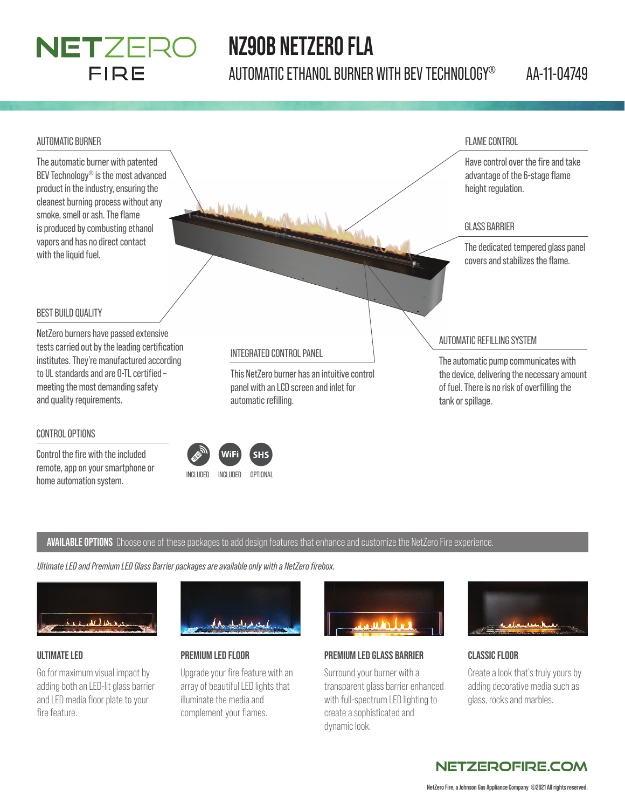## NETZERO FIRE

## **NZ90B NETZERO FLA**

AUTOMATIC ETHANOL BURNER WITH BEV TECHNOLOGY® AA-11-04749



#### CONTROL OPTIONS

Control the fire with the included remote, app on your smartphone or home automation system.<br>
INCLUDED INCLUDED OPTIONAL

#### **AVAILABLE OPTIONS** Choose one of these packages to add design features that enhance and customize the NetZero Fire experience.

 $<sub>4</sub>$ </sub>

*Ultimate LED and Premium LED Glass Barrier packages are available only with a NetZero fi rebox.*



#### **ULTIMATE LED**

Go for maximum visual impact by adding both an LED-lit glass barrier and LED media floor plate to your fire feature.



### **PREMIUM LED FLOOR**

Upgrade your fire feature with an array of beautiful LED lights that illuminate the media and complement your flames.



#### **PREMIUM LED GLASS BARRIER**

Surround your burner with a transparent glass barrier enhanced with full-spectrum LED lighting to create a sophisticated and dynamic look.



#### **CLASSIC FLOOR**

Create a look that's truly yours by adding decorative media such as glass, rocks and marbles.